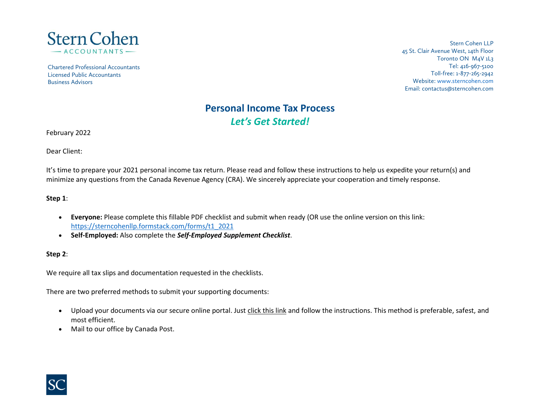

Chartered Professional Accountants Licensed Public Accountants Business Advisors

Stern Cohen LLP 45 St. Clair Avenue West, 14th Floor Toronto ON M4V 1L3 Tel: 416-967-5100 Toll-free: 1-877-265-2942 Website[: www.sterncohen.com](http://www.sterncohen.com/) Email: contactus@sterncohen.com

# **Personal Income Tax Process** *Let's Get Started!*

February 2022

Dear Client:

It's time to prepare your 2021 personal income tax return. Please read and follow these instructions to help us expedite your return(s) and minimize any questions from the Canada Revenue Agency (CRA). We sincerely appreciate your cooperation and timely response.

#### **Step 1**:

- **Everyone:** Please complete this fillable PDF checklist and submit when ready (OR use the online version on this link: [https://sterncohenllp.formstack.com/forms/t1\\_2021](https://sterncohenllp.formstack.com/forms/t1_2021)
- **Self-Employed:** Also complete the *Self-Employed Supplement Checklist*.

#### **Step 2**:

We require all tax slips and documentation requested in the checklists.

There are two preferred methods to submit your supporting documents:

- Upload your documents via our secure online portal. Just [click](https://www.sterncohen.com/portal/) this link and follow the instructions. This method is preferable, safest, and most efficient.
- Mail to our office by Canada Post.

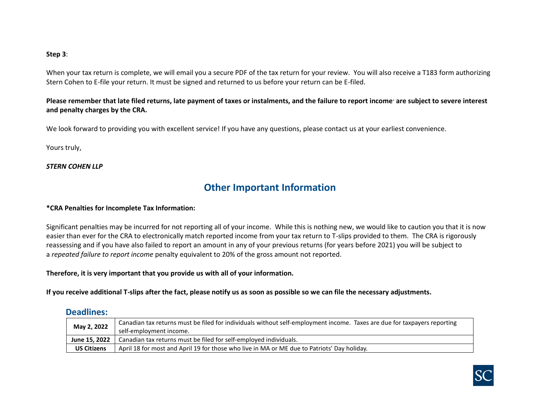#### **Step 3**:

When your tax return is complete, we will email you a secure PDF of the tax return for your review. You will also receive a T183 form authorizing Stern Cohen to E-file your return. It must be signed and returned to us before your return can be E-filed.

#### **Please remember that late filed returns, late payment of taxes or instalments, and the failure to report income\* are subject to severe interest and penalty charges by the CRA.**

We look forward to providing you with excellent service! If you have any questions, please contact us at your earliest convenience.

Yours truly,

#### *STERN COHEN LLP*

### **Other Important Information**

#### **\*CRA Penalties for Incomplete Tax Information:**

Significant penalties may be incurred for not reporting all of your income. While this is nothing new, we would like to caution you that it is now easier than ever for the CRA to electronically match reported income from your tax return to T-slips provided to them. The CRA is rigorously reassessing and if you have also failed to report an amount in any of your previous returns (for years before 2021) you will be subject to a *repeated failure to report income* penalty equivalent to 20% of the gross amount not reported.

#### **Therefore, it is very important that you provide us with all of your information.**

**If you receive additional T-slips after the fact, please notify us as soon as possible so we can file the necessary adjustments.**

#### **Deadlines:**

| May 2, 2022        | Canadian tax returns must be filed for individuals without self-employment income. Taxes are due for taxpayers reporting<br>self-employment income. |  |  |  |  |  |  |
|--------------------|-----------------------------------------------------------------------------------------------------------------------------------------------------|--|--|--|--|--|--|
| June 15, 2022      | Canadian tax returns must be filed for self-employed individuals.                                                                                   |  |  |  |  |  |  |
| <b>US Citizens</b> | April 18 for most and April 19 for those who live in MA or ME due to Patriots' Day holiday.                                                         |  |  |  |  |  |  |

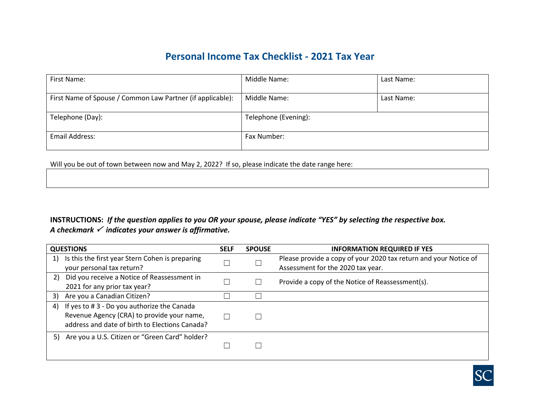## **Personal Income Tax Checklist - 2021 Tax Year**

| First Name:                                                | Middle Name:         | Last Name: |
|------------------------------------------------------------|----------------------|------------|
| First Name of Spouse / Common Law Partner (if applicable): | Middle Name:         | Last Name: |
| Telephone (Day):                                           | Telephone (Evening): |            |
| Email Address:                                             | Fax Number:          |            |

Will you be out of town between now and May 2, 2022? If so, please indicate the date range here:

### **INSTRUCTIONS:** *If the question applies to you OR your spouse, please indicate "YES" by selecting the respective box. A checkmark indicates your answer is affirmative.*

| <b>QUESTIONS</b>                                      | <b>SELF</b> | <b>SPOUSE</b> | <b>INFORMATION REQUIRED IF YES</b>                               |
|-------------------------------------------------------|-------------|---------------|------------------------------------------------------------------|
| Is this the first year Stern Cohen is preparing<br>1) |             |               | Please provide a copy of your 2020 tax return and your Notice of |
| your personal tax return?                             |             |               | Assessment for the 2020 tax year.                                |
| Did you receive a Notice of Reassessment in<br>2)     |             |               | Provide a copy of the Notice of Reassessment(s).                 |
| 2021 for any prior tax year?                          |             |               |                                                                  |
| Are you a Canadian Citizen?<br>3)                     |             |               |                                                                  |
| If yes to #3 - Do you authorize the Canada<br>4)      |             |               |                                                                  |
| Revenue Agency (CRA) to provide your name,            |             |               |                                                                  |
| address and date of birth to Elections Canada?        |             |               |                                                                  |
| Are you a U.S. Citizen or "Green Card" holder?<br>5)  |             |               |                                                                  |
|                                                       |             |               |                                                                  |
|                                                       |             |               |                                                                  |

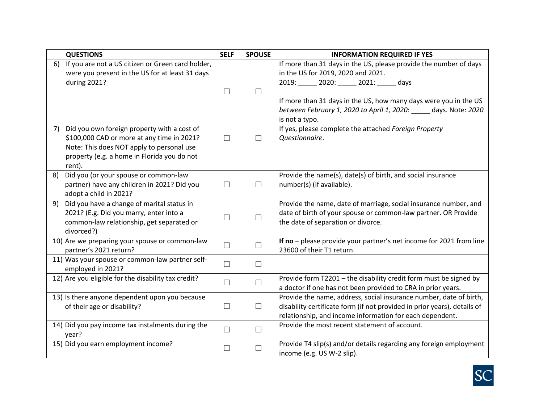|    | <b>QUESTIONS</b>                                                                                                                                                                                | <b>SELF</b>       | <b>SPOUSE</b>     | <b>INFORMATION REQUIRED IF YES</b>                                                                                                                                                                         |
|----|-------------------------------------------------------------------------------------------------------------------------------------------------------------------------------------------------|-------------------|-------------------|------------------------------------------------------------------------------------------------------------------------------------------------------------------------------------------------------------|
| 6) | If you are not a US citizen or Green card holder,<br>were you present in the US for at least 31 days<br>during 2021?                                                                            | $\Box$            | $\Box$            | If more than 31 days in the US, please provide the number of days<br>in the US for 2019, 2020 and 2021.<br>2019: 2020: 2021: days<br>If more than 31 days in the US, how many days were you in the US      |
|    |                                                                                                                                                                                                 |                   |                   | between February 1, 2020 to April 1, 2020: _____ days. Note: 2020<br>is not a typo.                                                                                                                        |
| 7) | Did you own foreign property with a cost of<br>\$100,000 CAD or more at any time in 2021?<br>Note: This does NOT apply to personal use<br>property (e.g. a home in Florida you do not<br>rent). | $\Box$            | Ш                 | If yes, please complete the attached Foreign Property<br>Questionnaire.                                                                                                                                    |
| 8) | Did you (or your spouse or common-law<br>partner) have any children in 2021? Did you<br>adopt a child in 2021?                                                                                  | $\Box$            | $\Box$            | Provide the name(s), date(s) of birth, and social insurance<br>number(s) (if available).                                                                                                                   |
| 9) | Did you have a change of marital status in<br>2021? (E.g. Did you marry, enter into a<br>common-law relationship, get separated or<br>divorced?)                                                | $\vert \ \ \vert$ | $\Box$            | Provide the name, date of marriage, social insurance number, and<br>date of birth of your spouse or common-law partner. OR Provide<br>the date of separation or divorce.                                   |
|    | 10) Are we preparing your spouse or common-law<br>partner's 2021 return?                                                                                                                        | $\Box$            |                   | If no - please provide your partner's net income for 2021 from line<br>23600 of their T1 return.                                                                                                           |
|    | 11) Was your spouse or common-law partner self-<br>employed in 2021?                                                                                                                            | $\Box$            | $\vert \ \ \vert$ |                                                                                                                                                                                                            |
|    | 12) Are you eligible for the disability tax credit?                                                                                                                                             | $\Box$            | $\Box$            | Provide form T2201 - the disability credit form must be signed by<br>a doctor if one has not been provided to CRA in prior years.                                                                          |
|    | 13) Is there anyone dependent upon you because<br>of their age or disability?                                                                                                                   | $\Box$            | $\Box$            | Provide the name, address, social insurance number, date of birth,<br>disability certificate form (if not provided in prior years), details of<br>relationship, and income information for each dependent. |
|    | 14) Did you pay income tax instalments during the<br>year?                                                                                                                                      | $\Box$            | $\Box$            | Provide the most recent statement of account.                                                                                                                                                              |
|    | 15) Did you earn employment income?                                                                                                                                                             | $\Box$            | П                 | Provide T4 slip(s) and/or details regarding any foreign employment<br>income (e.g. US W-2 slip).                                                                                                           |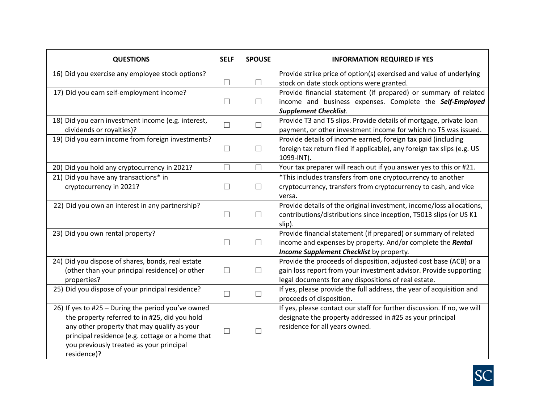| <b>QUESTIONS</b>                                                               | <b>SELF</b>       | <b>SPOUSE</b> | <b>INFORMATION REQUIRED IF YES</b>                                                                                                                          |
|--------------------------------------------------------------------------------|-------------------|---------------|-------------------------------------------------------------------------------------------------------------------------------------------------------------|
| 16) Did you exercise any employee stock options?                               |                   |               | Provide strike price of option(s) exercised and value of underlying                                                                                         |
|                                                                                | $\Box$            | $\Box$        | stock on date stock options were granted.                                                                                                                   |
| 17) Did you earn self-employment income?                                       | $\Box$            | $\Box$        | Provide financial statement (if prepared) or summary of related<br>income and business expenses. Complete the Self-Employed<br><b>Supplement Checklist.</b> |
| 18) Did you earn investment income (e.g. interest,<br>dividends or royalties)? | $\Box$            | $\Box$        | Provide T3 and T5 slips. Provide details of mortgage, private loan<br>payment, or other investment income for which no T5 was issued.                       |
| 19) Did you earn income from foreign investments?                              |                   |               | Provide details of income earned, foreign tax paid (including                                                                                               |
|                                                                                | $\Box$            | $\Box$        | foreign tax return filed if applicable), any foreign tax slips (e.g. US<br>1099-INT).                                                                       |
| 20) Did you hold any cryptocurrency in 2021?                                   | $\Box$            | $\Box$        | Your tax preparer will reach out if you answer yes to this or #21.                                                                                          |
| 21) Did you have any transactions* in                                          |                   |               | *This includes transfers from one cryptocurrency to another                                                                                                 |
| cryptocurrency in 2021?                                                        | $\vert \ \ \vert$ | Ш             | cryptocurrency, transfers from cryptocurrency to cash, and vice                                                                                             |
|                                                                                |                   |               | versa.                                                                                                                                                      |
| 22) Did you own an interest in any partnership?                                |                   |               | Provide details of the original investment, income/loss allocations,                                                                                        |
|                                                                                | $\Box$            | $\Box$        | contributions/distributions since inception, T5013 slips (or US K1                                                                                          |
|                                                                                |                   |               | slip).                                                                                                                                                      |
| 23) Did you own rental property?                                               |                   |               | Provide financial statement (if prepared) or summary of related                                                                                             |
|                                                                                | $\Box$            | $\Box$        | income and expenses by property. And/or complete the Rental                                                                                                 |
|                                                                                |                   |               | Income Supplement Checklist by property.                                                                                                                    |
| 24) Did you dispose of shares, bonds, real estate                              |                   |               | Provide the proceeds of disposition, adjusted cost base (ACB) or a                                                                                          |
| (other than your principal residence) or other                                 | П                 | П             | gain loss report from your investment advisor. Provide supporting                                                                                           |
| properties?                                                                    |                   |               | legal documents for any dispositions of real estate.                                                                                                        |
| 25) Did you dispose of your principal residence?                               | П                 | $\Box$        | If yes, please provide the full address, the year of acquisition and<br>proceeds of disposition.                                                            |
| 26) If yes to #25 - During the period you've owned                             |                   |               | If yes, please contact our staff for further discussion. If no, we will                                                                                     |
| the property referred to in #25, did you hold                                  |                   |               | designate the property addressed in #25 as your principal                                                                                                   |
| any other property that may qualify as your                                    |                   |               | residence for all years owned.                                                                                                                              |
| principal residence (e.g. cottage or a home that                               |                   |               |                                                                                                                                                             |
| you previously treated as your principal                                       |                   |               |                                                                                                                                                             |
| residence)?                                                                    |                   |               |                                                                                                                                                             |

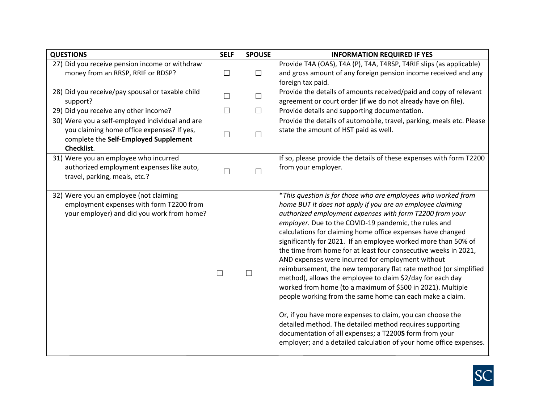| <b>QUESTIONS</b>                                                                                                                                     | <b>SELF</b> | <b>SPOUSE</b> | <b>INFORMATION REQUIRED IF YES</b>                                                                                                                                                                                                                                                                                                                                                                                                                                                                                                                                                                                                                                                                                                                                                                                                                                                                                                                                                                                              |
|------------------------------------------------------------------------------------------------------------------------------------------------------|-------------|---------------|---------------------------------------------------------------------------------------------------------------------------------------------------------------------------------------------------------------------------------------------------------------------------------------------------------------------------------------------------------------------------------------------------------------------------------------------------------------------------------------------------------------------------------------------------------------------------------------------------------------------------------------------------------------------------------------------------------------------------------------------------------------------------------------------------------------------------------------------------------------------------------------------------------------------------------------------------------------------------------------------------------------------------------|
| 27) Did you receive pension income or withdraw<br>money from an RRSP, RRIF or RDSP?                                                                  | $\Box$      | $\Box$        | Provide T4A (OAS), T4A (P), T4A, T4RSP, T4RIF slips (as applicable)<br>and gross amount of any foreign pension income received and any                                                                                                                                                                                                                                                                                                                                                                                                                                                                                                                                                                                                                                                                                                                                                                                                                                                                                          |
|                                                                                                                                                      |             |               | foreign tax paid.                                                                                                                                                                                                                                                                                                                                                                                                                                                                                                                                                                                                                                                                                                                                                                                                                                                                                                                                                                                                               |
| 28) Did you receive/pay spousal or taxable child                                                                                                     | $\Box$      | $\Box$        | Provide the details of amounts received/paid and copy of relevant                                                                                                                                                                                                                                                                                                                                                                                                                                                                                                                                                                                                                                                                                                                                                                                                                                                                                                                                                               |
| support?                                                                                                                                             |             |               | agreement or court order (if we do not already have on file).                                                                                                                                                                                                                                                                                                                                                                                                                                                                                                                                                                                                                                                                                                                                                                                                                                                                                                                                                                   |
| 29) Did you receive any other income?                                                                                                                | $\Box$      | $\Box$        | Provide details and supporting documentation.                                                                                                                                                                                                                                                                                                                                                                                                                                                                                                                                                                                                                                                                                                                                                                                                                                                                                                                                                                                   |
| 30) Were you a self-employed individual and are<br>you claiming home office expenses? If yes,<br>complete the Self-Employed Supplement<br>Checklist. | $\Box$      | $\Box$        | Provide the details of automobile, travel, parking, meals etc. Please<br>state the amount of HST paid as well.                                                                                                                                                                                                                                                                                                                                                                                                                                                                                                                                                                                                                                                                                                                                                                                                                                                                                                                  |
| 31) Were you an employee who incurred<br>authorized employment expenses like auto,<br>travel, parking, meals, etc.?                                  |             | П             | If so, please provide the details of these expenses with form T2200<br>from your employer.                                                                                                                                                                                                                                                                                                                                                                                                                                                                                                                                                                                                                                                                                                                                                                                                                                                                                                                                      |
| 32) Were you an employee (not claiming<br>employment expenses with form T2200 from<br>your employer) and did you work from home?                     | П           |               | *This question is for those who are employees who worked from<br>home BUT it does not apply if you are an employee claiming<br>authorized employment expenses with form T2200 from your<br>employer. Due to the COVID-19 pandemic, the rules and<br>calculations for claiming home office expenses have changed<br>significantly for 2021. If an employee worked more than 50% of<br>the time from home for at least four consecutive weeks in 2021,<br>AND expenses were incurred for employment without<br>reimbursement, the new temporary flat rate method (or simplified<br>method), allows the employee to claim \$2/day for each day<br>worked from home (to a maximum of \$500 in 2021). Multiple<br>people working from the same home can each make a claim.<br>Or, if you have more expenses to claim, you can choose the<br>detailed method. The detailed method requires supporting<br>documentation of all expenses; a T2200S form from your<br>employer; and a detailed calculation of your home office expenses. |

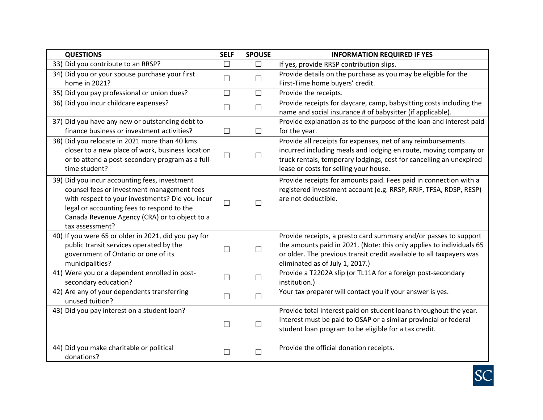| <b>QUESTIONS</b>                                     | <b>SELF</b> | <b>SPOUSE</b> | <b>INFORMATION REQUIRED IF YES</b>                                   |
|------------------------------------------------------|-------------|---------------|----------------------------------------------------------------------|
| 33) Did you contribute to an RRSP?                   | $\Box$      | $\Box$        | If yes, provide RRSP contribution slips.                             |
| 34) Did you or your spouse purchase your first       | $\Box$      | $\Box$        | Provide details on the purchase as you may be eligible for the       |
| home in 2021?                                        |             |               | First-Time home buyers' credit.                                      |
| 35) Did you pay professional or union dues?          | $\Box$      | $\Box$        | Provide the receipts.                                                |
| 36) Did you incur childcare expenses?                | $\Box$      | $\Box$        | Provide receipts for daycare, camp, babysitting costs including the  |
|                                                      |             |               | name and social insurance # of babysitter (if applicable).           |
| 37) Did you have any new or outstanding debt to      |             |               | Provide explanation as to the purpose of the loan and interest paid  |
| finance business or investment activities?           | $\Box$      | $\Box$        | for the year.                                                        |
| 38) Did you relocate in 2021 more than 40 kms        |             |               | Provide all receipts for expenses, net of any reimbursements         |
| closer to a new place of work, business location     | $\Box$      | $\Box$        | incurred including meals and lodging en route, moving company or     |
| or to attend a post-secondary program as a full-     |             |               | truck rentals, temporary lodgings, cost for cancelling an unexpired  |
| time student?                                        |             |               | lease or costs for selling your house.                               |
| 39) Did you incur accounting fees, investment        |             |               | Provide receipts for amounts paid. Fees paid in connection with a    |
| counsel fees or investment management fees           |             |               | registered investment account (e.g. RRSP, RRIF, TFSA, RDSP, RESP)    |
| with respect to your investments? Did you incur      | $\Box$      | П             | are not deductible.                                                  |
| legal or accounting fees to respond to the           |             |               |                                                                      |
| Canada Revenue Agency (CRA) or to object to a        |             |               |                                                                      |
| tax assessment?                                      |             |               |                                                                      |
| 40) If you were 65 or older in 2021, did you pay for |             |               | Provide receipts, a presto card summary and/or passes to support     |
| public transit services operated by the              | $\Box$      | $\Box$        | the amounts paid in 2021. (Note: this only applies to individuals 65 |
| government of Ontario or one of its                  |             |               | or older. The previous transit credit available to all taxpayers was |
| municipalities?                                      |             |               | eliminated as of July 1, 2017.)                                      |
| 41) Were you or a dependent enrolled in post-        | $\Box$      | $\Box$        | Provide a T2202A slip (or TL11A for a foreign post-secondary         |
| secondary education?                                 |             |               | institution.)                                                        |
| 42) Are any of your dependents transferring          | $\Box$      | $\Box$        | Your tax preparer will contact you if your answer is yes.            |
| unused tuition?                                      |             |               |                                                                      |
| 43) Did you pay interest on a student loan?          |             |               | Provide total interest paid on student loans throughout the year.    |
|                                                      | $\Box$      | $\Box$        | Interest must be paid to OSAP or a similar provincial or federal     |
|                                                      |             |               | student loan program to be eligible for a tax credit.                |
| 44) Did you make charitable or political             |             |               | Provide the official donation receipts.                              |
| donations?                                           | $\Box$      | $\Box$        |                                                                      |
|                                                      |             |               |                                                                      |

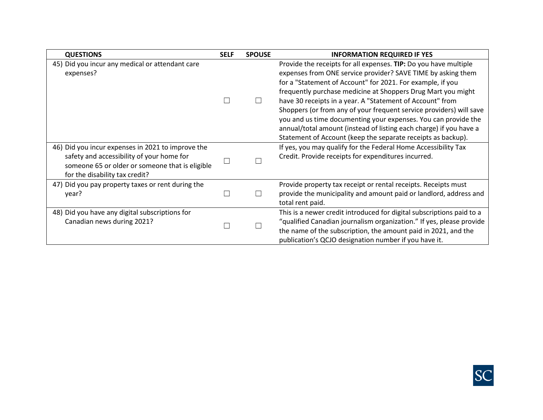| <b>QUESTIONS</b>                                                                                                                                                                    | <b>SELF</b>  | <b>SPOUSE</b> | <b>INFORMATION REQUIRED IF YES</b>                                                                                                                                                                                                                                                                                                                                                                                                                                                                                                                                                                         |
|-------------------------------------------------------------------------------------------------------------------------------------------------------------------------------------|--------------|---------------|------------------------------------------------------------------------------------------------------------------------------------------------------------------------------------------------------------------------------------------------------------------------------------------------------------------------------------------------------------------------------------------------------------------------------------------------------------------------------------------------------------------------------------------------------------------------------------------------------------|
| 45) Did you incur any medical or attendant care<br>expenses?                                                                                                                        | П            | $\Box$        | Provide the receipts for all expenses. TIP: Do you have multiple<br>expenses from ONE service provider? SAVE TIME by asking them<br>for a "Statement of Account" for 2021. For example, if you<br>frequently purchase medicine at Shoppers Drug Mart you might<br>have 30 receipts in a year. A "Statement of Account" from<br>Shoppers (or from any of your frequent service providers) will save<br>you and us time documenting your expenses. You can provide the<br>annual/total amount (instead of listing each charge) if you have a<br>Statement of Account (keep the separate receipts as backup). |
| 46) Did you incur expenses in 2021 to improve the<br>safety and accessibility of your home for<br>someone 65 or older or someone that is eligible<br>for the disability tax credit? | $\mathbf{L}$ |               | If yes, you may qualify for the Federal Home Accessibility Tax<br>Credit. Provide receipts for expenditures incurred.                                                                                                                                                                                                                                                                                                                                                                                                                                                                                      |
| 47) Did you pay property taxes or rent during the<br>year?                                                                                                                          | П            |               | Provide property tax receipt or rental receipts. Receipts must<br>provide the municipality and amount paid or landlord, address and<br>total rent paid.                                                                                                                                                                                                                                                                                                                                                                                                                                                    |
| 48) Did you have any digital subscriptions for<br>Canadian news during 2021?                                                                                                        |              |               | This is a newer credit introduced for digital subscriptions paid to a<br>"qualified Canadian journalism organization." If yes, please provide<br>the name of the subscription, the amount paid in 2021, and the<br>publication's QCJO designation number if you have it.                                                                                                                                                                                                                                                                                                                                   |